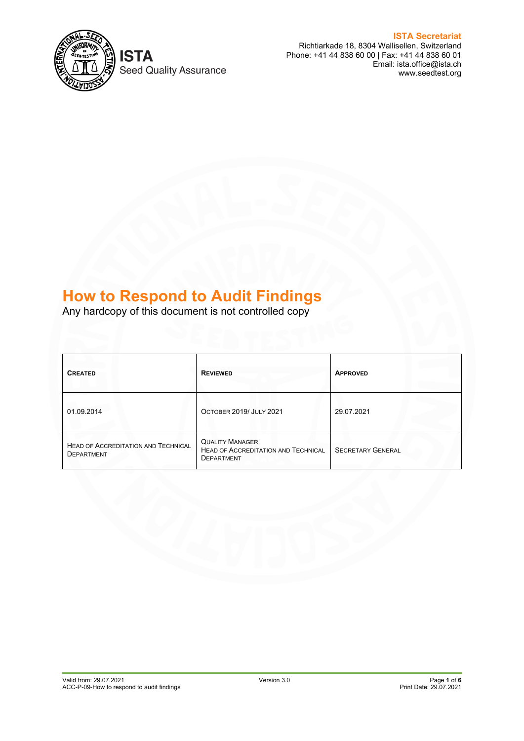

**Seed Quality Assurance** 

**ISTA Secretariat** Richtiarkade 18, 8304 Wallisellen, Switzerland Phone: +41 44 838 60 00 | Fax: +41 44 838 60 01 Email: ista.office@ista.ch www.seedtest.org

# **How to Respond to Audit Findings**

Any hardcopy of this document is not controlled copy

| <b>CREATED</b>                                           | <b>REVIEWED</b>                                                                           | <b>APPROVED</b>          |
|----------------------------------------------------------|-------------------------------------------------------------------------------------------|--------------------------|
| 01.09.2014                                               | OCTOBER 2019/ JULY 2021                                                                   | 29.07.2021               |
| HEAD OF ACCREDITATION AND TECHNICAL<br><b>DEPARTMENT</b> | <b>QUALITY MANAGER</b><br><b>HEAD OF ACCREDITATION AND TECHNICAL</b><br><b>DEPARTMENT</b> | <b>SECRETARY GENERAL</b> |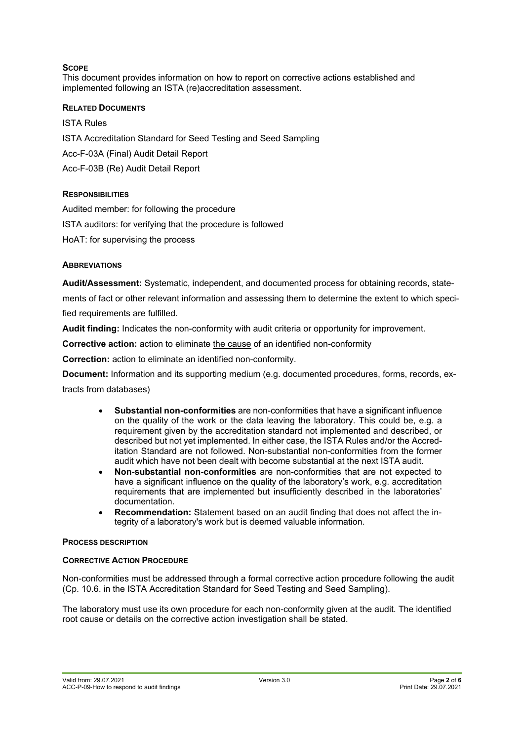# **SCOPE**

This document provides information on how to report on corrective actions established and implemented following an ISTA (re)accreditation assessment.

## **RELATED DOCUMENTS**

ISTA Rules

ISTA Accreditation Standard for Seed Testing and Seed Sampling

Acc-F-03A (Final) Audit Detail Report

Acc-F-03B (Re) Audit Detail Report

# **RESPONSIBILITIES**

Audited member: for following the procedure ISTA auditors: for verifying that the procedure is followed

HoAT: for supervising the process

# **ABBREVIATIONS**

**Audit/Assessment:** Systematic, independent, and documented process for obtaining records, statements of fact or other relevant information and assessing them to determine the extent to which specified requirements are fulfilled.

**Audit finding:** Indicates the non-conformity with audit criteria or opportunity for improvement.

**Corrective action:** action to eliminate the cause of an identified non-conformity

**Correction:** action to eliminate an identified non-conformity.

**Document:** Information and its supporting medium (e.g. documented procedures, forms, records, extracts from databases)

- **Substantial non-conformities** are non-conformities that have a significant influence on the quality of the work or the data leaving the laboratory. This could be, e.g. a requirement given by the accreditation standard not implemented and described, or described but not yet implemented. In either case, the ISTA Rules and/or the Accreditation Standard are not followed. Non-substantial non-conformities from the former audit which have not been dealt with become substantial at the next ISTA audit.
- **Non-substantial non-conformities** are non-conformities that are not expected to have a significant influence on the quality of the laboratory's work, e.g. accreditation requirements that are implemented but insufficiently described in the laboratories' documentation.
- **Recommendation:** Statement based on an audit finding that does not affect the integrity of a laboratory's work but is deemed valuable information.

## **PROCESS DESCRIPTION**

## **CORRECTIVE ACTION PROCEDURE**

Non-conformities must be addressed through a formal corrective action procedure following the audit (Cp. 10.6. in the ISTA Accreditation Standard for Seed Testing and Seed Sampling).

The laboratory must use its own procedure for each non-conformity given at the audit. The identified root cause or details on the corrective action investigation shall be stated.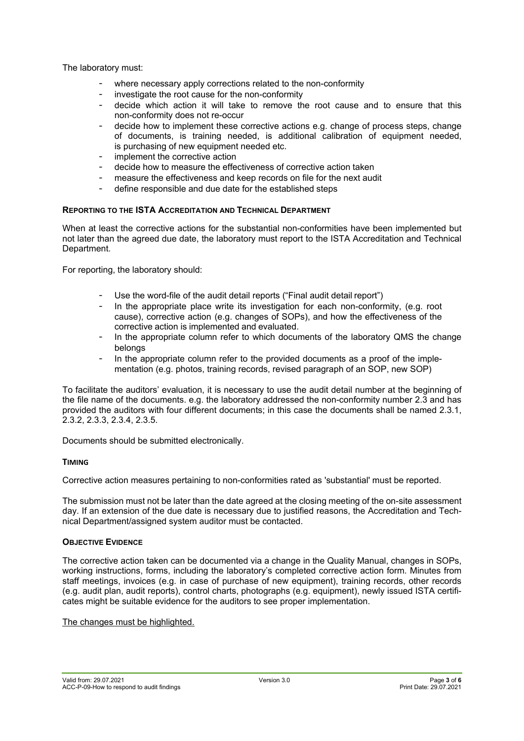The laboratory must:

- where necessary apply corrections related to the non-conformity
- investigate the root cause for the non-conformity
- decide which action it will take to remove the root cause and to ensure that this non-conformity does not re-occur
- decide how to implement these corrective actions e.g. change of process steps, change of documents, is training needed, is additional calibration of equipment needed, is purchasing of new equipment needed etc.
- implement the corrective action
- decide how to measure the effectiveness of corrective action taken
- measure the effectiveness and keep records on file for the next audit
- define responsible and due date for the established steps

## **REPORTING TO THE ISTA ACCREDITATION AND TECHNICAL DEPARTMENT**

When at least the corrective actions for the substantial non-conformities have been implemented but not later than the agreed due date, the laboratory must report to the ISTA Accreditation and Technical Department.

For reporting, the laboratory should:

- Use the word-file of the audit detail reports ("Final audit detail report")
- In the appropriate place write its investigation for each non-conformity, (e.g. root cause), corrective action (e.g. changes of SOPs), and how the effectiveness of the corrective action is implemented and evaluated.
- In the appropriate column refer to which documents of the laboratory QMS the change belongs
- In the appropriate column refer to the provided documents as a proof of the implementation (e.g. photos, training records, revised paragraph of an SOP, new SOP)

To facilitate the auditors' evaluation, it is necessary to use the audit detail number at the beginning of the file name of the documents. e.g. the laboratory addressed the non-conformity number 2.3 and has provided the auditors with four different documents; in this case the documents shall be named 2.3.1, 2.3.2, 2.3.3, 2.3.4, 2.3.5.

Documents should be submitted electronically.

## **TIMING**

Corrective action measures pertaining to non-conformities rated as 'substantial' must be reported.

The submission must not be later than the date agreed at the closing meeting of the on-site assessment day. If an extension of the due date is necessary due to justified reasons, the Accreditation and Technical Department/assigned system auditor must be contacted.

## **OBJECTIVE EVIDENCE**

The corrective action taken can be documented via a change in the Quality Manual, changes in SOPs, working instructions, forms, including the laboratory's completed corrective action form. Minutes from staff meetings, invoices (e.g. in case of purchase of new equipment), training records, other records (e.g. audit plan, audit reports), control charts, photographs (e.g. equipment), newly issued ISTA certificates might be suitable evidence for the auditors to see proper implementation.

## The changes must be highlighted.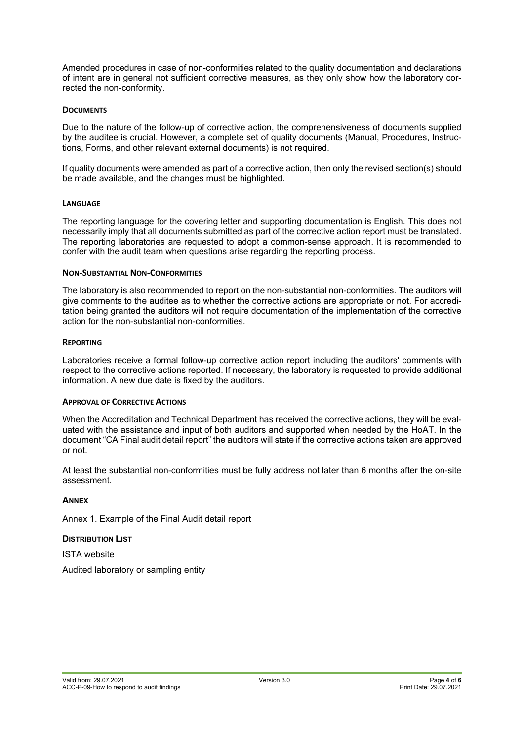Amended procedures in case of non-conformities related to the quality documentation and declarations of intent are in general not sufficient corrective measures, as they only show how the laboratory corrected the non-conformity.

## **DOCUMENTS**

Due to the nature of the follow-up of corrective action, the comprehensiveness of documents supplied by the auditee is crucial. However, a complete set of quality documents (Manual, Procedures, Instructions, Forms, and other relevant external documents) is not required.

If quality documents were amended as part of a corrective action, then only the revised section(s) should be made available, and the changes must be highlighted.

#### **LANGUAGE**

The reporting language for the covering letter and supporting documentation is English. This does not necessarily imply that all documents submitted as part of the corrective action report must be translated. The reporting laboratories are requested to adopt a common-sense approach. It is recommended to confer with the audit team when questions arise regarding the reporting process.

#### **NON-SUBSTANTIAL NON-CONFORMITIES**

The laboratory is also recommended to report on the non-substantial non-conformities. The auditors will give comments to the auditee as to whether the corrective actions are appropriate or not. For accreditation being granted the auditors will not require documentation of the implementation of the corrective action for the non-substantial non-conformities.

## **REPORTING**

Laboratories receive a formal follow-up corrective action report including the auditors' comments with respect to the corrective actions reported. If necessary, the laboratory is requested to provide additional information. A new due date is fixed by the auditors.

#### **APPROVAL OF CORRECTIVE ACTIONS**

When the Accreditation and Technical Department has received the corrective actions, they will be evaluated with the assistance and input of both auditors and supported when needed by the HoAT. In the document "CA Final audit detail report" the auditors will state if the corrective actions taken are approved or not.

At least the substantial non-conformities must be fully address not later than 6 months after the on-site assessment.

## **ANNEX**

Annex 1. Example of the Final Audit detail report

## **DISTRIBUTION LIST**

ISTA website

Audited laboratory or sampling entity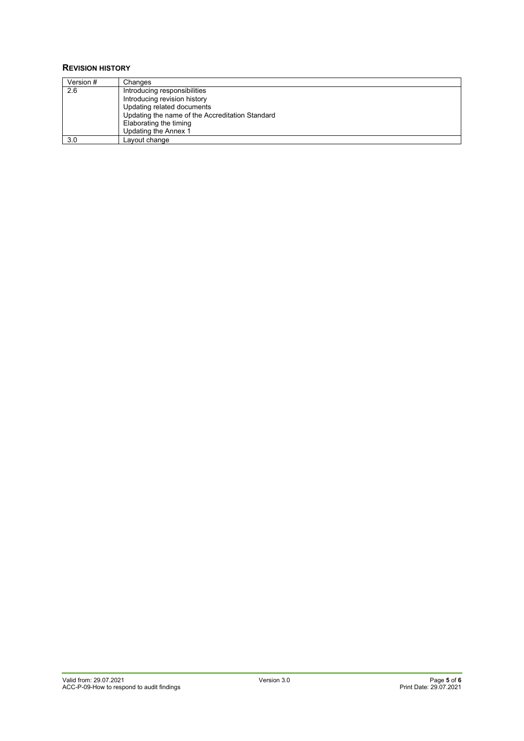#### **REVISION HISTORY**

| Version # | Changes                                         |
|-----------|-------------------------------------------------|
| 2.6       | Introducing responsibilities                    |
|           | Introducing revision history                    |
|           | Updating related documents                      |
|           | Updating the name of the Accreditation Standard |
|           | Elaborating the timing                          |
|           | Updating the Annex 1                            |
| 3.0       | Layout change                                   |